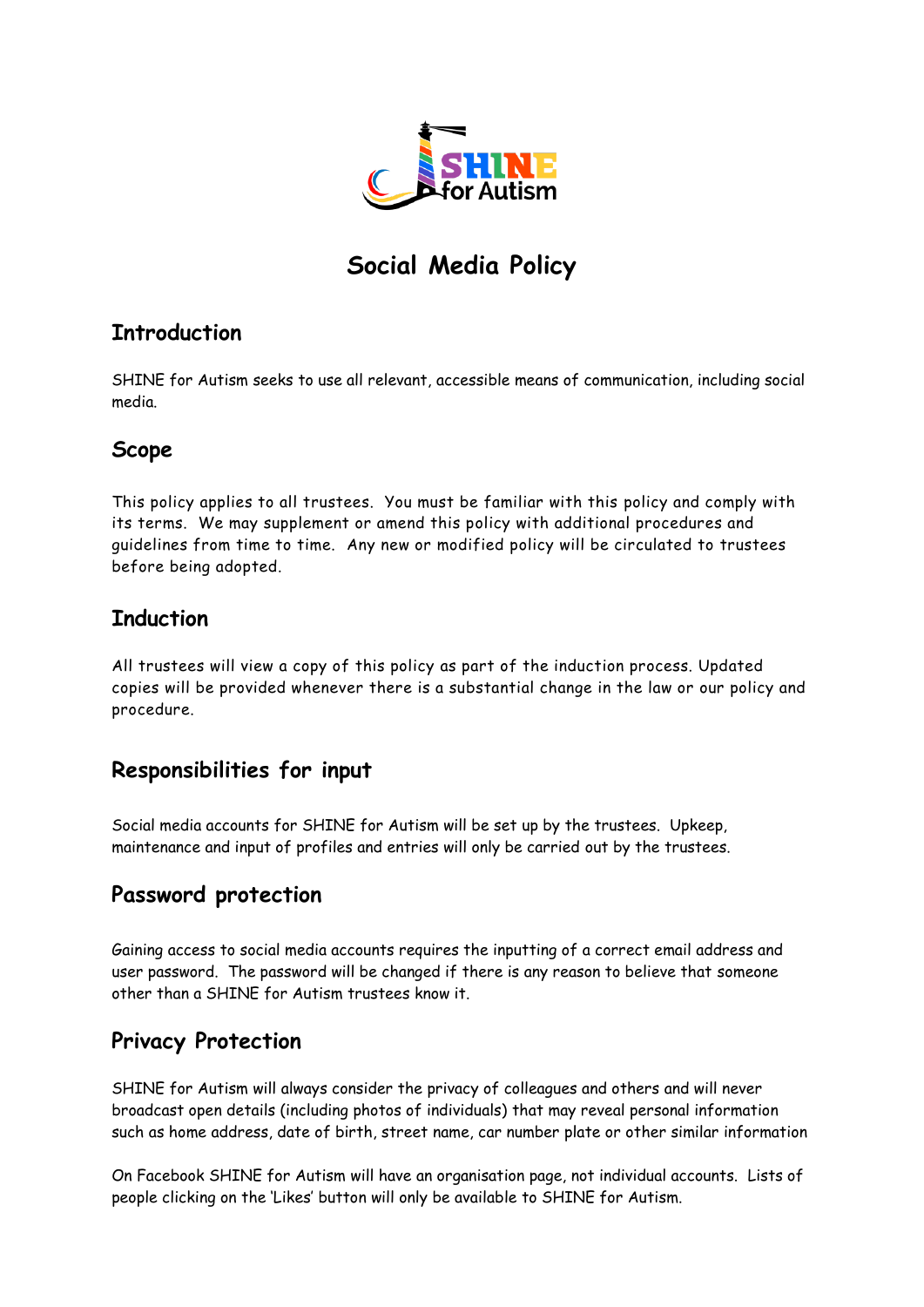

# **Social Media Policy**

## **Introduction**

SHINE for Autism seeks to use all relevant, accessible means of communication, including social media.

#### **Scope**

This policy applies to all trustees. You must be familiar with this policy and comply with its terms. We may supplement or amend this policy with additional procedures and guidelines from time to time. Any new or modified policy will be circulated to trustees before being adopted.

#### **Induction**

All trustees will view a copy of this policy as part of the induction process. Updated copies will be provided whenever there is a substantial change in the law or our policy and procedure.

## **Responsibilities for input**

Social media accounts for SHINE for Autism will be set up by the trustees. Upkeep, maintenance and input of profiles and entries will only be carried out by the trustees.

## **Password protection**

Gaining access to social media accounts requires the inputting of a correct email address and user password. The password will be changed if there is any reason to believe that someone other than a SHINE for Autism trustees know it.

## **Privacy Protection**

SHINE for Autism will always consider the privacy of colleagues and others and will never broadcast open details (including photos of individuals) that may reveal personal information such as home address, date of birth, street name, car number plate or other similar information

On Facebook SHINE for Autism will have an organisation page, not individual accounts. Lists of people clicking on the 'Likes' button will only be available to SHINE for Autism.